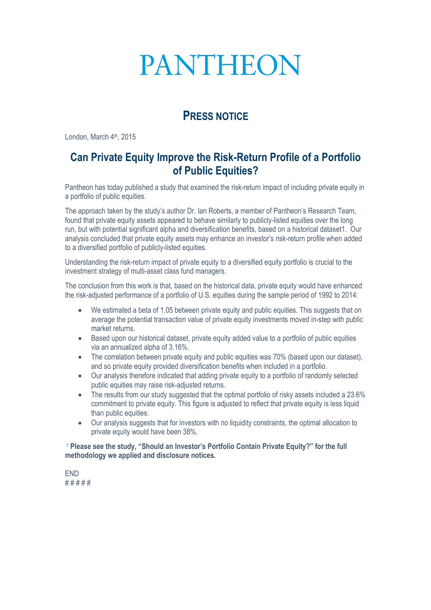# **PANTHEON**

## **PRESS NOTICE**

London, March 4<sup>th</sup>, 2015

### **Can Private Equity Improve the Risk-Return Profile of a Portfolio of Public Equities?**

Pantheon has today published a study that examined the risk-return impact of including private equity in a portfolio of public equities.

The approach taken by the study's author Dr. Ian Roberts, a member of Pantheon's Research Team, found that private equity assets appeared to behave similarly to publicly-listed equities over the long run, but with potential significant alpha and diversification benefits, based on a historical dataset1. Our analysis concluded that private equity assets may enhance an investor's risk-return profile when added to a diversified portfolio of publicly-listed equities.

Understanding the risk-return impact of private equity to a diversified equity portfolio is crucial to the investment strategy of multi-asset class fund managers.

The conclusion from this work is that, based on the historical data, private equity would have enhanced the risk-adjusted performance of a portfolio of U.S. equities during the sample period of 1992 to 2014:

- We estimated a beta of 1.05 between private equity and public equities. This suggests that on average the potential transaction value of private equity investments moved in-step with public market returns.
- Based upon our historical dataset, private equity added value to a portfolio of public equities via an annualized alpha of 3.16%.
- The correlation between private equity and public equities was 70% (based upon our dataset), and so private equity provided diversification benefits when included in a portfolio.
- Our analysis therefore indicated that adding private equity to a portfolio of randomly selected public equities may raise risk-adjusted returns.
- The results from our study suggested that the optimal portfolio of risky assets included a 23.6% commitment to private equity. This figure is adjusted to reflect that private equity is less liquid than public equities.
- Our analysis suggests that for investors with no liquidity constraints, the optimal allocation to private equity would have been 38%.

<sup>1</sup> **Please see the study, "Should an Investor's Portfolio Contain Private Equity?" for the full methodology we applied and disclosure notices.**

END # # # # #